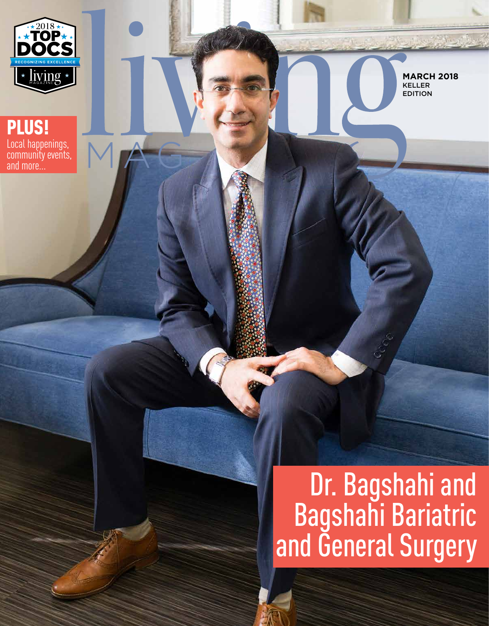

PLUS!

Local happenings, community events, and more...

**MARCH 2018** KELLER EDITION

# Dr. Bagshahi and Bagshahi Bariatric and General Surgery